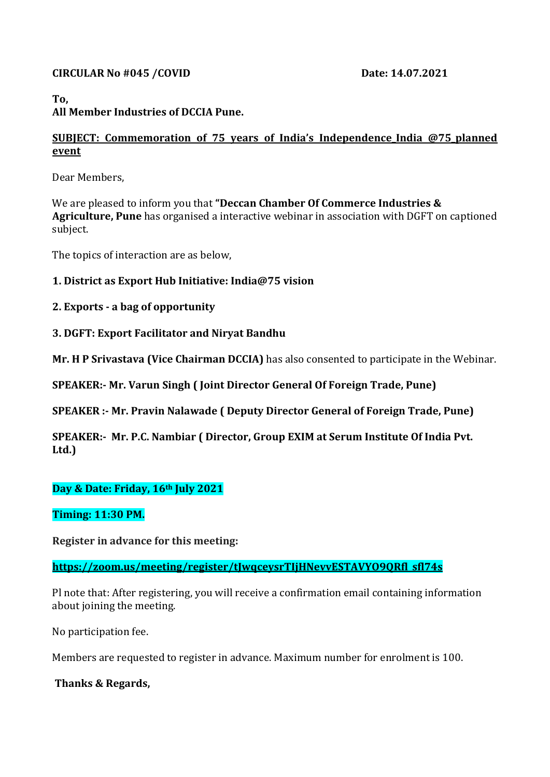#### **CIRCULAR No #045 /COVID Date: 14.07.2021**

# **To,**

# **All Member Industries of DCCIA Pune.**

#### **SUBJECT: Commemoration of 75 years of India's Independence\_India @75\_planned event**

Dear Members,

We are pleased to inform you that **"Deccan Chamber Of Commerce Industries & Agriculture, Pune** has organised a interactive webinar in association with DGFT on captioned subject.

The topics of interaction are as below,

## **1. District as Export Hub Initiative: [India@75](mailto:India@75) vision**

## **2. Exports - a bag of opportunity**

## **3. DGFT: Export Facilitator and Niryat Bandhu**

**Mr. H P Srivastava (Vice Chairman DCCIA)** has also consented to participate in the Webinar.

**SPEAKER:- Mr. Varun Singh ( Joint Director General Of Foreign Trade, Pune)**

**SPEAKER :- Mr. Pravin Nalawade ( Deputy Director General of Foreign Trade, Pune)**

**SPEAKER:- Mr. P.C. Nambiar ( Director, Group EXIM at Serum Institute Of India Pvt. Ltd.)**

## **Day & Date: Friday, 16th July 2021**

## **Timing: 11:30 PM.**

**Register in advance for this meeting:**

**[https://zoom.us/meeting/register/tJwqceysrTIjHNevvESTAVYO9QRfl\\_sfl74s](https://zoom.us/meeting/register/tJwqceysrTIjHNevvESTAVYO9QRfl_sfl74s)**

Pl note that: After registering, you will receive a confirmation email containing information about joining the meeting.

No participation fee.

Members are requested to register in advance. Maximum number for enrolment is 100.

## **Thanks & Regards,**